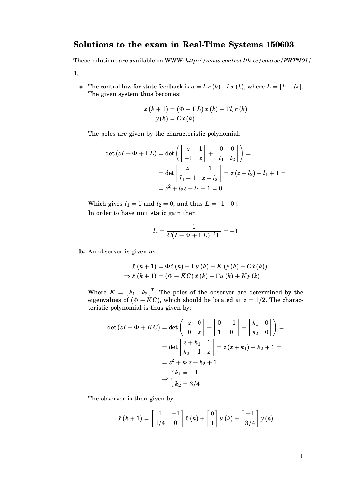## **Solutions to the exam in Real-Time Systems 150603**

These solutions are available on WWW: *http://www.control.lth.se/course/FRTN01/*

**1.**

**a.** The control law for state feedback is  $u = l_r r(k) - Lx(k)$ , where  $L = \begin{bmatrix} l_1 & l_2 \end{bmatrix}$ . The given system thus becomes:

$$
x(k+1) = (\Phi - \Gamma L) x (k) + \Gamma l_r r (k)
$$

$$
y(k) = Cx (k)
$$

The poles are given by the characteristic polynomial:

$$
\det(zI - \Phi + \Gamma L) = \det\left(\begin{bmatrix} z & 1 \ -1 & z \end{bmatrix} + \begin{bmatrix} 0 & 0 \ l_1 & l_2 \end{bmatrix}\right) =
$$
  
= 
$$
\det\begin{bmatrix} z & 1 \ l_1 - 1 & z + l_2 \end{bmatrix} = z(z + l_2) - l_1 + 1 =
$$
  
= 
$$
z^2 + l_2 z - l_1 + 1 = 0
$$

Which gives  $l_1 = 1$  and  $l_2 = 0$ , and thus  $L = \begin{bmatrix} 1 & 0 \end{bmatrix}$ . In order to have unit static gain then

$$
l_r = \frac{1}{C(I - \Phi + \Gamma L)^{-1} \Gamma} = -1
$$

**b.** An observer is given as

$$
\hat{x}(k+1) = \Phi \hat{x}(k) + \Gamma u(k) + K (y(k) - C\hat{x}(k))
$$
  
\n
$$
\Rightarrow \hat{x}(k+1) = (\Phi - KC) \hat{x}(k) + \Gamma u(k) + Ky(k)
$$

Where  $K = [k_1 \ k_2]^T$ . The poles of the observer are determined by the eigenvalues of  $(\Phi - KC)$ , which should be located at  $z = 1/2$ . The characteristic polynomial is thus given by:

$$
\det(zI - \Phi + KC) = \det\left(\begin{bmatrix} z & 0 \\ 0 & z \end{bmatrix} - \begin{bmatrix} 0 & -1 \\ 1 & 0 \end{bmatrix} + \begin{bmatrix} k_1 & 0 \\ k_2 & 0 \end{bmatrix}\right) =
$$

$$
= \det\begin{bmatrix} z + k_1 & 1 \\ k_2 - 1 & z \end{bmatrix} = z(z + k_1) - k_2 + 1 =
$$

$$
= z^2 + k_1 z - k_2 + 1
$$

$$
\Rightarrow \begin{cases} k_1 = -1 \\ k_2 = 3/4 \end{cases}
$$

The observer is then given by:

$$
\hat{x}(k+1) = \begin{bmatrix} 1 & -1 \\ 1/4 & 0 \end{bmatrix} \hat{x}(k) + \begin{bmatrix} 0 \\ 1 \end{bmatrix} u(k) + \begin{bmatrix} -1 \\ 3/4 \end{bmatrix} y(k)
$$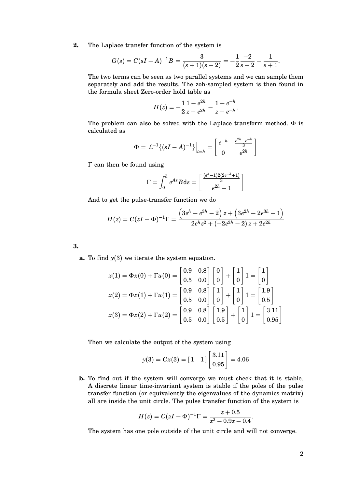**2.** The Laplace transfer function of the system is

$$
G(s) = C(sI - A)^{-1}B = \frac{3}{(s+1)(s-2)} = -\frac{1}{2}\frac{-2}{s-2} - \frac{1}{s+1}
$$

.

The two terms can be seen as two parallel systems and we can sample them separately and add the results. The zoh-sampled system is then found in the formula sheet Zero-order hold table as

$$
H(z) = -\frac{1}{2} \frac{1 - e^{2h}}{z - e^{2h}} - \frac{1 - e^{-h}}{z - e^{-h}}.
$$

The problem can also be solved with the Laplace transform method.  $\Phi$  is calculated as

$$
\Phi = \mathcal{L}^{-1}\{(sI - A)^{-1}\}\Big|_{t=h} = \begin{bmatrix} e^{-h} & \frac{e^{2h} - e^{-h}}{3} \\ 0 & e^{2h} \end{bmatrix}
$$

Γ can then be found using

$$
\Gamma = \int_0^h e^{As} B ds = \left[ \frac{\frac{(e^h - 1)2(2e^{-h} + 1)}{3}}{e^{2h} - 1} \right]
$$

And to get the pulse-transfer function we do

$$
H(z)=C(zI-\Phi)^{-1}\Gamma=\frac{\left(3e^h-e^{3h}-2\right)z+\left(3e^{2h}-2e^{3h}-1\right)}{2e^h z^2+\left(-2e^{3h}-2\right)z+2e^{2h}}
$$

**3.**

**a.** To find *y*(3) we iterate the system equation.

$$
x(1) = \Phi x(0) + \Gamma u(0) = \begin{bmatrix} 0.9 & 0.8 \\ 0.5 & 0.0 \end{bmatrix} \begin{bmatrix} 0 \\ 0 \end{bmatrix} + \begin{bmatrix} 1 \\ 0 \end{bmatrix} 1 = \begin{bmatrix} 1 \\ 0 \end{bmatrix}
$$

$$
x(2) = \Phi x(1) + \Gamma u(1) = \begin{bmatrix} 0.9 & 0.8 \\ 0.5 & 0.0 \end{bmatrix} \begin{bmatrix} 1 \\ 0 \end{bmatrix} + \begin{bmatrix} 1 \\ 0 \end{bmatrix} 1 = \begin{bmatrix} 1.9 \\ 0.5 \end{bmatrix}
$$

$$
x(3) = \Phi x(2) + \Gamma u(2) = \begin{bmatrix} 0.9 & 0.8 \\ 0.5 & 0.0 \end{bmatrix} \begin{bmatrix} 1.9 \\ 0.5 \end{bmatrix} + \begin{bmatrix} 1 \\ 0 \end{bmatrix} 1 = \begin{bmatrix} 3.11 \\ 0.95 \end{bmatrix}
$$

Then we calculate the output of the system using

$$
y(3) = Cx(3) = [1 \t1] \begin{bmatrix} 3.11 \\ 0.95 \end{bmatrix} = 4.06
$$

**b.** To find out if the system will converge we must check that it is stable. A discrete linear time-invariant system is stable if the poles of the pulse transfer function (or equivalently the eigenvalues of the dynamics matrix) all are inside the unit circle. The pulse transfer function of the system is

$$
H(z) = C(zI - \Phi)^{-1}\Gamma = \frac{z + 0.5}{z^2 - 0.9z - 0.4}.
$$

The system has one pole outside of the unit circle and will not converge.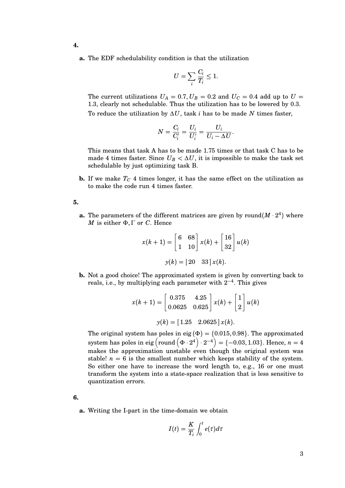- **4.**
	- **a.** The EDF schedulability condition is that the utilization

$$
U = \sum_{i} \frac{C_i}{T_i} \le 1.
$$

The current utilizations  $U_A = 0.7, U_B = 0.2$  and  $U_C = 0.4$  add up to  $U =$ 1.3, clearly not schedulable. Thus the utilization has to be lowered by 0.3. To reduce the utilization by ∆*U*, task *i* has to be made *N* times faster,

$$
N = \frac{C_i}{C_i'} = \frac{U_i}{U_i'} = \frac{U_i}{U_i - \Delta U}
$$

.

This means that task A has to be made 1.75 times or that task C has to be made 4 times faster. Since  $U_B < \Delta U$ , it is impossible to make the task set schedulable by just optimizing task B.

**b.** If we make  $T_C$  4 times longer, it has the same effect on the utilization as to make the code run 4 times faster.

**5.**

**a.** The parameters of the different matrices are given by round( $M \cdot 2^4$ ) where *M* is either  $Φ$ , Γ or *C*. Hence

$$
x(k+1) = \begin{bmatrix} 6 & 68 \\ 1 & 10 \end{bmatrix} x(k) + \begin{bmatrix} 16 \\ 32 \end{bmatrix} u(k)
$$
\n
$$
y(k) = \begin{bmatrix} 20 & 33 \end{bmatrix} x(k).
$$

**b.** Not a good choice! The approximated system is given by converting back to reals, i.e., by multiplying each parameter with  $2^{-4}$ . This gives

$$
x(k+1) = \begin{bmatrix} 0.375 & 4.25 \\ 0.0625 & 0.625 \end{bmatrix} x(k) + \begin{bmatrix} 1 \\ 2 \end{bmatrix} u(k)
$$

$$
y(k) = \begin{bmatrix} 1.25 & 2.0625 \end{bmatrix} x(k).
$$

The original system has poles in eig ( $\Phi$ ) = {0.015, 0.98}. The approximated system has poles in eig  $\left( \text{round} \left( \Phi \cdot 2^{4} \right) \cdot 2^{-4} \right) = \{-0.03, 1.03\}.$  Hence,  $n = 4$ makes the approximation unstable even though the original system was stable!  $n = 6$  is the smallest number which keeps stability of the system. So either one have to increase the word length to, e.g., 16 or one must transform the system into a state-space realization that is less sensitive to quantization errors.

**6.**

**a.** Writing the I-part in the time-domain we obtain

$$
I(t) = \frac{K}{T_i} \int_0^t e(\tau) d\tau
$$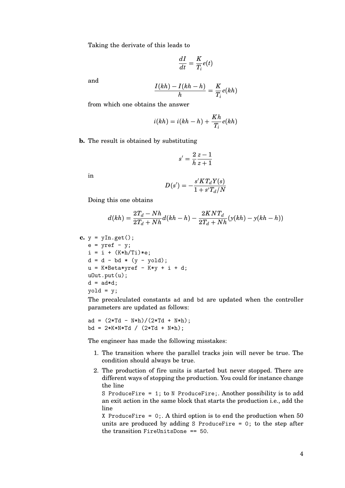Taking the derivate of this leads to

$$
\frac{dI}{dt} = \frac{K}{T_i}e(t)
$$

and

$$
\frac{I(kh) - I(kh - h)}{h} = \frac{K}{T_i}e(kh)
$$

from which one obtains the answer

$$
i(kh) = i(kh - h) + \frac{Kh}{T_i}e(kh)
$$

**b.** The result is obtained by substituting

$$
s' = \frac{2}{h} \frac{z-1}{z+1}
$$

in

$$
D(s')=-\frac{s'KT_dY(s)}{1+s'T_d/N}
$$

Doing this one obtains

$$
d(kh) = \frac{2T_d - Nh}{2T_d + Nh}d(kh - h) - \frac{2KNT_d}{2T_d + Nh}(y(kh) - y(kh - h))
$$

c. 
$$
y = yIn.get();
$$
  
\ne = yref - y;  
\ni = i + (K\*h/Ti)\*e;  
\nd = d - bd \* (y - yold);  
\nu = K\*Beta\*yref - K\*y + i + d;  
\nuOut.put(u);  
\nd = ad\*d;  
\nyold = y;

The precalculated constants ad and bd are updated when the controller parameters are updated as follows:

$$
ad = (2*Td - N*h)/(2*Td + N*h);
$$
  

$$
bd = 2*K*N*Td / (2*Td + N*h);
$$

The engineer has made the following misstakes:

- 1. The transition where the parallel tracks join will never be true. The condition should always be true.
- 2. The production of fire units is started but never stopped. There are different ways of stopping the production. You could for instance change the line

S ProduceFire = 1; to N ProduceFire;. Another possibility is to add an exit action in the same block that starts the production i.e., add the line

X ProduceFire =  $0$ . A third option is to end the production when 50 units are produced by adding S ProduceFire  $= 0$ ; to the step after the transition FireUnitsDone == 50.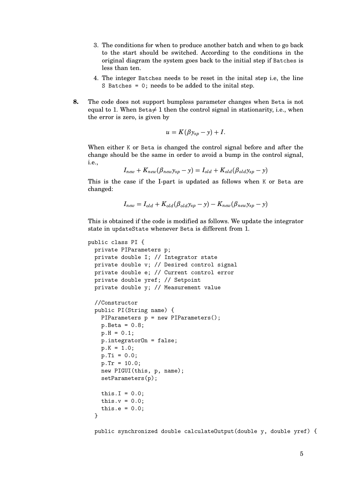- 3. The conditions for when to produce another batch and when to go back to the start should be switched. According to the conditions in the original diagram the system goes back to the initial step if Batches is less than ten.
- 4. The integer Batches needs to be reset in the inital step i.e, the line S Batches = 0; needs to be added to the inital step.
- **8.** The code does not support bumpless parameter changes when Beta is not equal to 1. When Beta $\neq 1$  then the control signal in stationarity, i.e., when the error is zero, is given by

$$
u=K(\beta y_{sp}-y)+I.
$$

When either K or Beta is changed the control signal before and after the change should be the same in order to avoid a bump in the control signal, i.e.,

$$
I_{new} + K_{new}(\beta_{new}y_{sp} - y) = I_{old} + K_{old}(\beta_{old}y_{sp} - y)
$$

This is the case if the I-part is updated as follows when K or Beta are changed:

$$
I_{new} = I_{old} + K_{old}(\beta_{old}y_{sp} - y) - K_{new}(\beta_{new}y_{sp} - y)
$$

This is obtained if the code is modified as follows. We update the integrator state in updateState whenever Beta is different from 1.

```
public class PI {
  private PIParameters p;
  private double I; // Integrator state
  private double v; // Desired control signal
  private double e; // Current control error
  private double yref; // Setpoint
  private double y; // Measurement value
  //Constructor
  public PI(String name) {
    PIParameters p = new PIParameters();
    p. Beta = 0.8;p.H = 0.1;p.integratorOn = false;
    p.K = 1.0;p.Ti = 0.0;p.Tr = 10.0;new PIGUI(this, p, name);
    setParameters(p);
    this.I = 0.0;
    this.v = 0.0;
    this.e = 0.0;
  }
```
public synchronized double calculateOutput(double y, double yref) {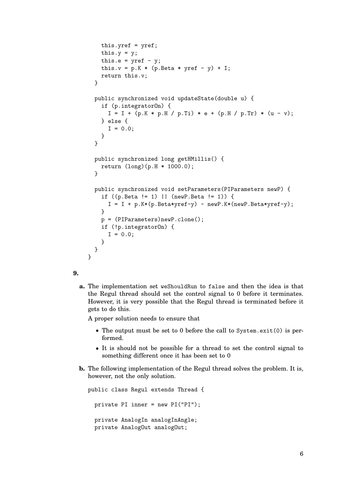```
this.yref = yref;
    this.y = y;
    this.e = yref - y;
    this.v = p.K * (p.Beta * yref - y) + I;return this.v;
  }
  public synchronized void updateState(double u) {
    if (p.integratorOn) {
      I = I + (p.K * p.H / p.Ti) * e + (p.H / p.Tr) * (u - v);} else {
      I = 0.0;}
  }
  public synchronized long getHMillis() {
    return (long)(p.H * 1000.0);
  }
  public synchronized void setParameters(PIParameters newP) {
    if ((p.Beta != 1) || (newP.Beta != 1)) {
      I = I + p.K*(p.Beta*yref-y) - newP.K*(newP.Beta*yref-y);}
    p = (PIParameters)newP.clone();
    if (!p.integratorOn) {
      I = 0.0;}
  }
}
```

```
9.
```
**a.** The implementation set weShouldRun to false and then the idea is that the Regul thread should set the control signal to 0 before it terminates. However, it is very possible that the Regul thread is terminated before it gets to do this.

A proper solution needs to ensure that

- The output must be set to 0 before the call to System.exit(0) is performed.
- It is should not be possible for a thread to set the control signal to something different once it has been set to 0
- **b.** The following implementation of the Regul thread solves the problem. It is, however, not the only solution.

public class Regul extends Thread { private PI inner = new PI("PI"); private AnalogIn analogInAngle; private AnalogOut analogOut;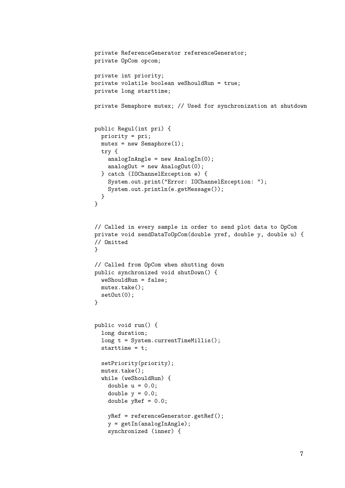```
private ReferenceGenerator referenceGenerator;
private OpCom opcom;
private int priority;
private volatile boolean weShouldRun = true;
private long starttime;
private Semaphore mutex; // Used for synchronization at shutdown
public Regul(int pri) {
  priority = pri;
 mutex = new Semaphore(1);
  try {
    analogInAngle = new AnalogIn(0);
    analogOut = new AnalogOut(0);} catch (IOChannelException e) {
    System.out.print("Error: IOChannelException: ");
    System.out.println(e.getMessage());
  }
}
// Called in every sample in order to send plot data to OpCom
private void sendDataToOpCom(double yref, double y, double u) {
// Omitted
}
// Called from OpCom when shutting down
public synchronized void shutDown() {
  weShouldRun = false;
 mutex.take();
  setOut(0);
}
public void run() {
  long duration;
  long t = System.currentTimeMillis();
  starttime = t;
  setPriority(priority);
  mutex.take();
  while (weShouldRun) {
    double u = 0.0:
    double y = 0.0;
    double yRef = 0.0;
    yRef = referenceGenerator.getRef();
    y = getIn(analogInAngle);
    synchronized (inner) {
```